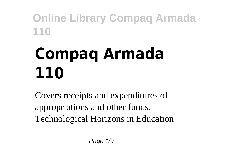# **Compaq Armada 110**

Covers receipts and expenditures of appropriations and other funds. Technological Horizons in Education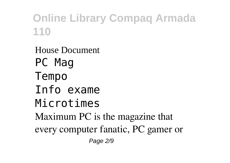House Document PC Mag Tempo Info exame Microtimes Maximum PC is the magazine that every computer fanatic, PC gamer or Page 2/9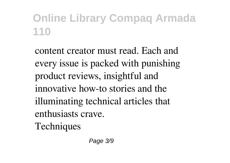content creator must read. Each and every issue is packed with punishing product reviews, insightful and innovative how-to stories and the illuminating technical articles that enthusiasts crave. Techniques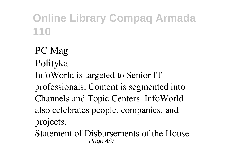PC Mag Polityka InfoWorld is targeted to Senior IT professionals. Content is segmented into Channels and Topic Centers. InfoWorld also celebrates people, companies, and projects.

Statement of Disbursements of the House Page 4/9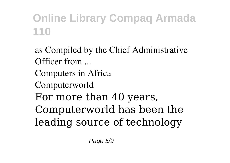as Compiled by the Chief Administrative Officer from ... Computers in Africa Computerworld For more than 40 years, Computerworld has been the leading source of technology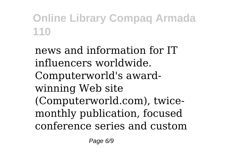news and information for IT influencers worldwide. Computerworld's awardwinning Web site (Computerworld.com), twicemonthly publication, focused conference series and custom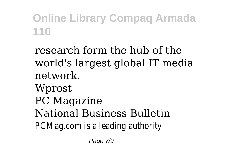research form the hub of the world's largest global IT media network. Wprost PC Magazine National Business Bulletin PCMag.com is a leading authority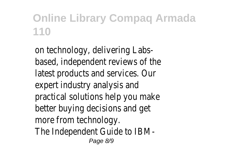on technology, delivering Labsbased, independent reviews of the latest products and services. Our expert industry analysis and practical solutions help you make better buying decisions and get more from technology. The Independent Guide to IBM-Page 8/9